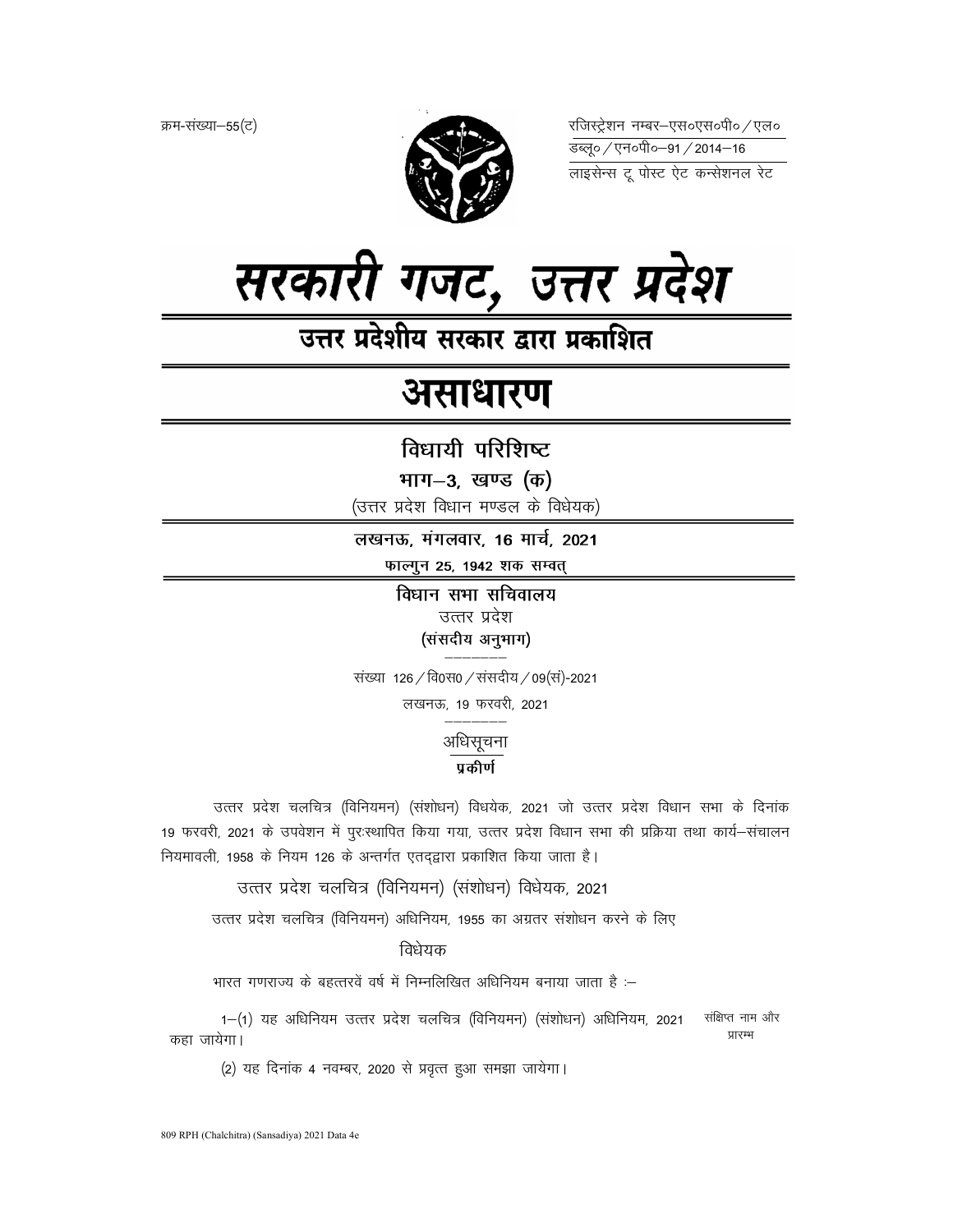क्रम-संख्या-55(ट)



रजिस्ट्रेशन नम्बर–एस०एस०पी० ⁄ एल० 



# असाधारण

विधायी परिशिष्ट

भाग-3, खण्ड (क)

(उत्तर प्रदेश विधान मण्डल के विधेयक)

लखनऊ, मंगलवार, 16 मार्च, 2021 फाल्गुन 25, 1942 शक सम्वत्

> विधान सभा सचिवालय उत्तर प्रदेश (संसदीय अनुभाग)

संख्या 126 / वि0स0 / संसदीय / 09 (सं)-2021 लखनऊ, 19 फरवरी, 2021

अधिसूचना

# प्रकीर्ण

उत्तर प्रदेश चलचित्र (विनियमन) (संशोधन) विधयेक, 2021 जो उत्तर प्रदेश विधान सभा के दिनांक 19 फरवरी, 2021 के उपवेशन में पूर:स्थापित किया गया, उत्तर प्रदेश विधान सभा की प्रक्रिया तथा कार्य–संचालन नियमावली, 1958 के नियम 126 के अन्तर्गत एतदद्वारा प्रकाशित किया जाता है।

उत्तर प्रदेश चलचित्र (विनियमन) (संशोधन) विधेयक, 2021

उत्तर प्रदेश चलचित्र (विनियमन) अधिनियम, 1955 का अग्रतर संशोधन करने के लिए

विधेयक

भारत गणराज्य के बहत्तरवें वर्ष में निम्नलिखित अधिनियम बनाया जाता है :–

1-(1) यह अधिनियम उत्तर प्रदेश चलचित्र (विनियमन) (संशोधन) अधिनियम, 2021 संक्षिप्त नाम और प्रारम्भ कहा जायेगा।

(2) यह दिनांक 4 नवम्बर, 2020 से प्रवृत्त हुआ समझा जायेगा।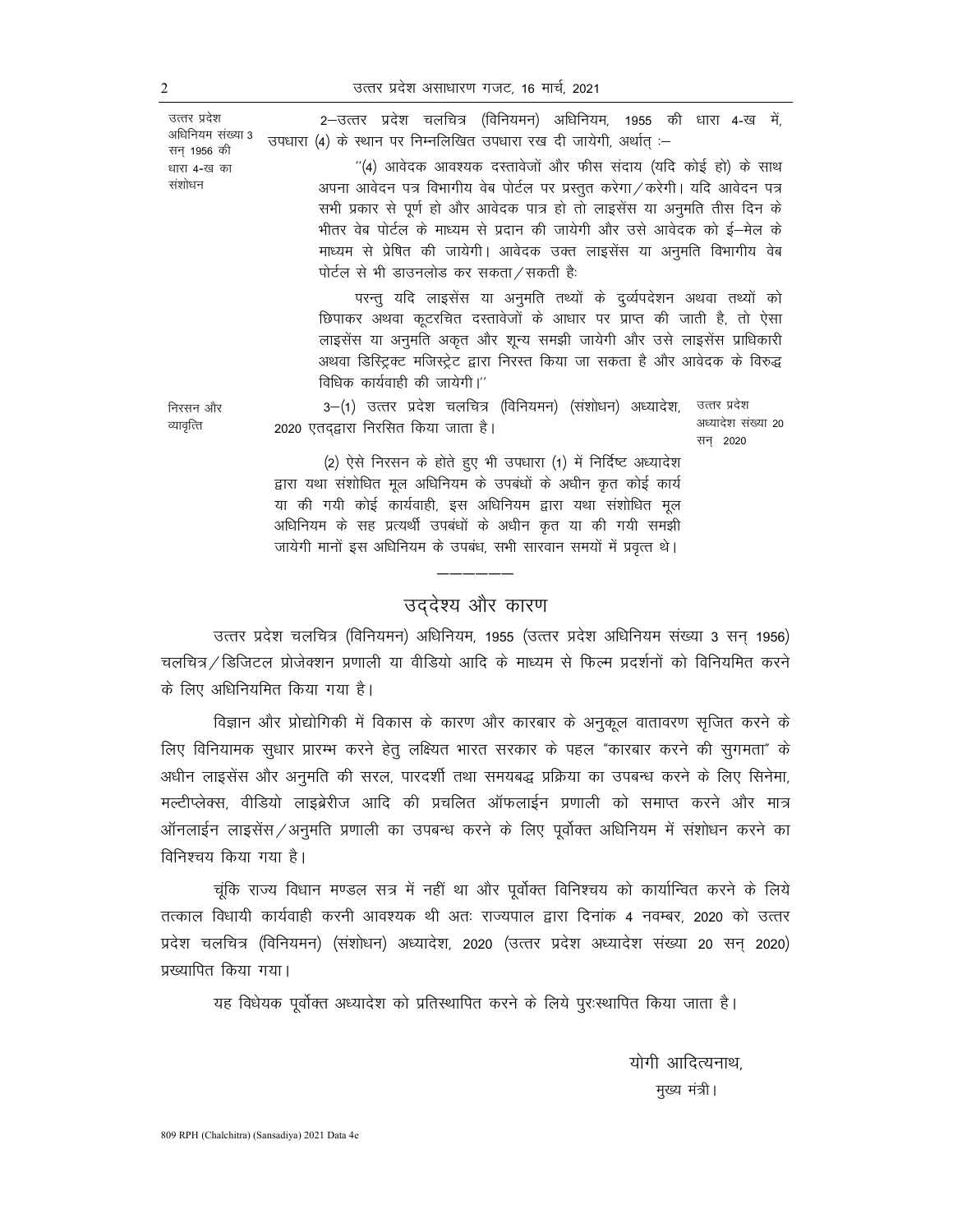उत्तर प्रदेश असाधारण गजट, 16 मार्च, 2021

2-उत्तर प्रदेश चलचित्र (विनियमन) अधिनियम, 1955 की धारा 4-ख में, उपधारा (4) के स्थान पर निम्नलिखित उपधारा रख दी जायेगी, अर्थात :-

> ''(4) आवेदक आवश्यक दस्तावेजों और फीस संदाय (यदि कोई हो) के साथ अपना आवेदन पत्र विभागीय वेब पोर्टल पर प्रस्तुत करेगा / करेगी। यदि आवेदन पत्र सभी प्रकार से पूर्ण हो और आवेदक पात्र हो तो लाइसेंस या अनुमति तीस दिन के भीतर वेब पोर्टल के माध्यम से प्रदान की जायेगी और उसे आवेदक को ई-मेल के माध्यम से प्रेषित की जायेगी। आवेदक उक्त लाइसेंस या अनुमति विभागीय वेब पोर्टल से भी डाउनलोड कर सकता / सकती है:

> परन्तु यदि लाइसेंस या अनुमति तथ्यों के दुर्व्यपदेशन अथवा तथ्यों को छिपाकर अथवा कूटरचित दस्तावेजों के आधार पर प्राप्त की जाती है, तो ऐसा लाइसेंस या अनुमति अकृत और शून्य समझी जायेगी और उसे लाइसेंस प्राधिकारी अथवा डिस्ट्रिक्ट मजिस्ट्रेट द्वारा निरस्त किया जा सकता है और आवेदक के विरुद्ध विधिक कार्यवाही की जायेगी।"

3–(1) उत्तर प्रदेश चलचित्र (विनियमन) (संशोधन) अध्यादेश, उत्तर प्रदेश अध्यादेश संख्या 20 2020 एतदद्वारा निरसित किया जाता है। सन 2020

(2) ऐसे निरसन के होते हुए भी उपधारा (1) में निर्दिष्ट अध्यादेश द्वारा यथा संशोधित मूल अधिनियम के उपबंधों के अधीन कृत कोई कार्य या की गयी कोई कार्यवाही, इस अधिनियम द्वारा यथा संशोधित मूल अधिनियम के सह प्रत्यर्थी उपबंधों के अधीन कृत या की गयी समझी जायेगी मानों इस अधिनियम के उपबंध, सभी सारवान समयों में प्रवृत्त थे।

# उद्देश्य और कारण

उत्तर प्रदेश चलचित्र (विनियमन) अधिनियम, 1955 (उत्तर प्रदेश अधिनियम संख्या 3 सन् 1956) चलचित्र / डिजिटल प्रोजेक्शन प्रणाली या वीडियो आदि के माध्यम से फिल्म प्रदर्शनों को विनियमित करने के लिए अधिनियमित किया गया है।

विज्ञान और प्रोद्योगिकी में विकास के कारण और कारबार के अनुकूल वातावरण सृजित करने के लिए विनियामक सुधार प्रारम्भ करने हेतु लक्ष्यित भारत सरकार के पहल "कारबार करने की सुगमता" के अधीन लाइसेंस और अनुमति की सरल, पारदर्शी तथा समयबद्ध प्रक्रिया का उपबन्ध करने के लिए सिनेमा, मल्टीप्लेक्स, वीडियो लाइब्रेरीज आदि की प्रचलित ऑफलाईन प्रणाली को समाप्त करने और मात्र ऑनलाईन लाइसेंस /अनुमति प्रणाली का उपबन्ध करने के लिए पूर्वोक्त अधिनियम में संशोधन करने का विनिश्चय किया गया है।

चूंकि राज्य विधान मण्डल सत्र में नहीं था और पूर्वोक्त विनिश्चय को कार्यान्वित करने के लिये तत्काल विधायी कार्यवाही करनी आवश्यक थी अतः राज्यपाल द्वारा दिनांक 4 नवम्बर, 2020 को उत्तर प्रदेश चलचित्र (विनियमन) (संशोधन) अध्यादेश, 2020 (उत्तर प्रदेश अध्यादेश संख्या 20 सन् 2020) प्रख्यापित किया गया।

यह विधेयक पूर्वोक्त अध्यादेश को प्रतिस्थापित करने के लिये पूर:स्थापित किया जाता है।

योगी आदित्यनाथ. मुख्य मंत्री।

निरसन और व्यावृत्ति

उत्तर प्रदेश

सन 1956 की

धारा ४-ख का संशोधन

अधिनियम संख्या 3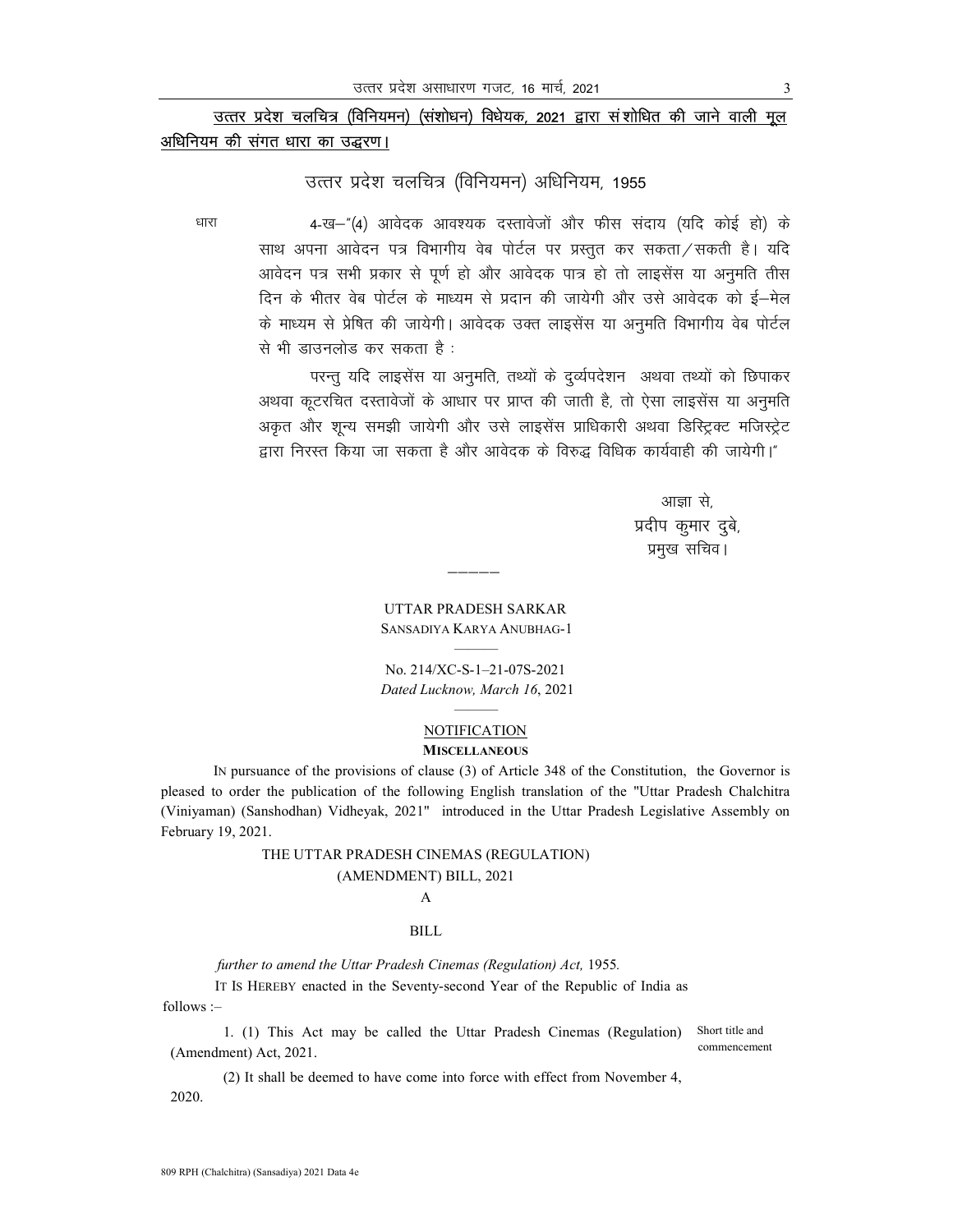# उत्तर प्रदेश चलचित्र (विनियमन) (संशोधन) विधेयक, 2021 द्वारा संशोधित की जाने वाली मूल अधिनियम की संगत धारा का उद्धरण।

## उत्तर प्रदेश चलचित्र (विनियमन) अधिनियम, 1955

धारा

4-ख-"(4) आवेदक आवश्यक दस्तावेजों और फीस संदाय (यदि कोई हो) के साथ अपना आवेदन पत्र विभागीय वेब पोर्टल पर प्रस्तुत कर सकता / सकती है। यदि आवेदन पत्र सभी प्रकार से पूर्ण हो और आवेदक पात्र हो तो लाइसेंस या अनुमति तीस दिन के भीतर वेब पोर्टल के माध्यम से प्रदान की जायेगी और उसे आवेदक को ई—मेल के माध्यम से प्रेषित की जायेगी। आवेदक उक्त लाइसेंस या अनुमति विभागीय वेब पोर्टल से भी डाउनलोड कर सकता है:

परन्तु यदि लाइसेंस या अनुमति, तथ्यों के दुर्व्यपदेशन अथवा तथ्यों को छिपाकर अथवा कूटरचित दस्तावेजों के आधार पर प्राप्त की जाती है, तो ऐसा लाइसेंस या अनुमति अकृत और शून्य समझी जायेगी और उसे लाइसेंस प्राधिकारी अथवा डिस्ट्रिक्ट मजिस्ट्रेट द्वारा निरस्त किया जा सकता है और आवेदक के विरुद्ध विधिक कार्यवाही की जायेगी।"

> आज्ञा से प्रदीप कुमार दुबे, प्रमुख सचिव।

**UTTAR PRADESH SARKAR** SANSADIYA KARYA ANUBHAG-1

No. 214/XC-S-1-21-07S-2021 Dated Lucknow, March 16, 2021

#### **NOTIFICATION MISCELLANEOUS**

IN pursuance of the provisions of clause (3) of Article 348 of the Constitution, the Governor is pleased to order the publication of the following English translation of the "Uttar Pradesh Chalchitra (Viniyaman) (Sanshodhan) Vidheyak, 2021" introduced in the Uttar Pradesh Legislative Assembly on February 19, 2021.

## THE UTTAR PRADESH CINEMAS (REGULATION) (AMENDMENT) BILL, 2021

### A

#### **BILL**

further to amend the Uttar Pradesh Cinemas (Regulation) Act, 1955.

IT Is HEREBY enacted in the Seventy-second Year of the Republic of India as  $follows:$ 

Short title and 1. (1) This Act may be called the Uttar Pradesh Cinemas (Regulation) commencement (Amendment) Act, 2021.

(2) It shall be deemed to have come into force with effect from November 4, 2020.